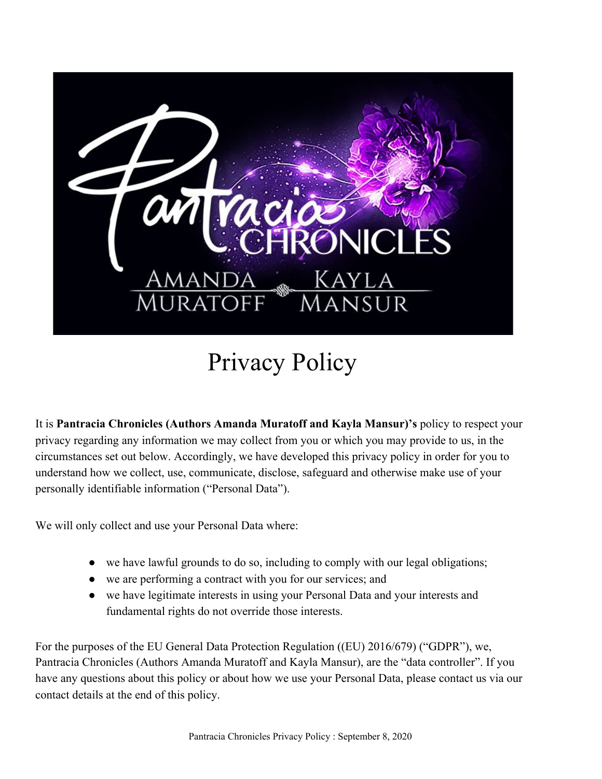

# Privacy Policy

It is **Pantracia Chronicles (Authors Amanda Muratoff and Kayla Mansur)'s** policy to respect your privacy regarding any information we may collect from you or which you may provide to us, in the circumstances set out below. Accordingly, we have developed this privacy policy in order for you to understand how we collect, use, communicate, disclose, safeguard and otherwise make use of your personally identifiable information ("Personal Data").

We will only collect and use your Personal Data where:

- we have lawful grounds to do so, including to comply with our legal obligations;
- we are performing a contract with you for our services; and
- we have legitimate interests in using your Personal Data and your interests and fundamental rights do not override those interests.

For the purposes of the EU General Data Protection Regulation ((EU) 2016/679) ("GDPR"), we, Pantracia Chronicles (Authors Amanda Muratoff and Kayla Mansur), are the "data controller". If you have any questions about this policy or about how we use your Personal Data, please contact us via our contact details at the end of this policy.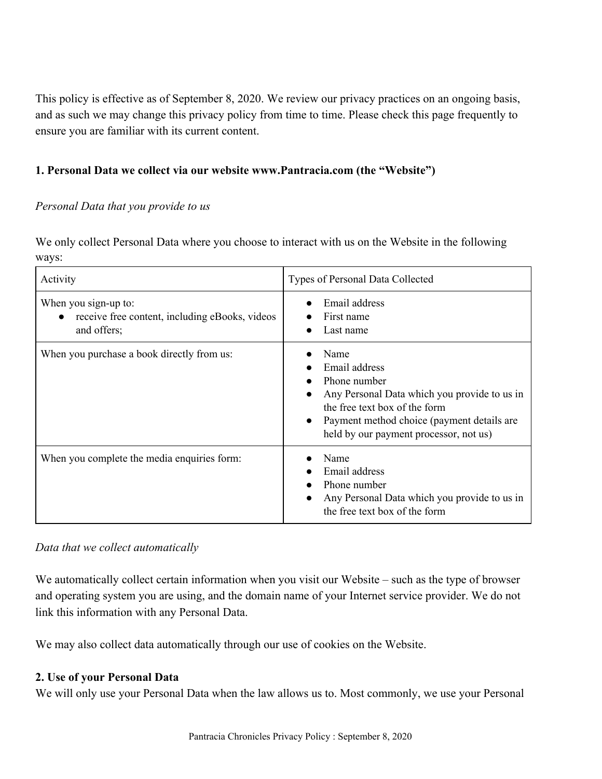This policy is effective as of September 8, 2020. We review our privacy practices on an ongoing basis, and as such we may change this privacy policy from time to time. Please check this page frequently to ensure you are familiar with its current content.

## **1. Personal Data we collect via our website www.Pantracia.com (the "Website")**

#### *Personal Data that you provide to us*

We only collect Personal Data where you choose to interact with us on the Website in the following ways:

| Activity                                                                              | Types of Personal Data Collected                                                                                                                                                                               |
|---------------------------------------------------------------------------------------|----------------------------------------------------------------------------------------------------------------------------------------------------------------------------------------------------------------|
| When you sign-up to:<br>receive free content, including eBooks, videos<br>and offers; | Email address<br>First name<br>Last name                                                                                                                                                                       |
| When you purchase a book directly from us:                                            | Name<br>Email address<br>Phone number<br>Any Personal Data which you provide to us in<br>the free text box of the form<br>Payment method choice (payment details are<br>held by our payment processor, not us) |
| When you complete the media enquiries form:                                           | Name<br>Email address<br>Phone number<br>Any Personal Data which you provide to us in<br>the free text box of the form                                                                                         |

#### *Data that we collect automatically*

We automatically collect certain information when you visit our Website – such as the type of browser and operating system you are using, and the domain name of your Internet service provider. We do not link this information with any Personal Data.

We may also collect data automatically through our use of cookies on the Website.

## **2. Use of your Personal Data**

We will only use your Personal Data when the law allows us to. Most commonly, we use your Personal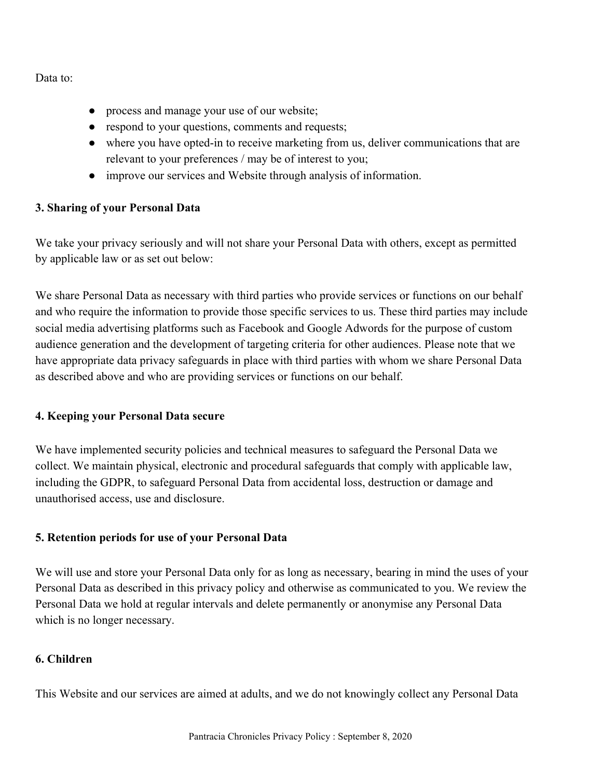Data to:

- process and manage your use of our website;
- respond to your questions, comments and requests;
- where you have opted-in to receive marketing from us, deliver communications that are relevant to your preferences / may be of interest to you;
- improve our services and Website through analysis of information.

## **3. Sharing of your Personal Data**

We take your privacy seriously and will not share your Personal Data with others, except as permitted by applicable law or as set out below:

We share Personal Data as necessary with third parties who provide services or functions on our behalf and who require the information to provide those specific services to us. These third parties may include social media advertising platforms such as Facebook and Google Adwords for the purpose of custom audience generation and the development of targeting criteria for other audiences. Please note that we have appropriate data privacy safeguards in place with third parties with whom we share Personal Data as described above and who are providing services or functions on our behalf.

## **4. Keeping your Personal Data secure**

We have implemented security policies and technical measures to safeguard the Personal Data we collect. We maintain physical, electronic and procedural safeguards that comply with applicable law, including the GDPR, to safeguard Personal Data from accidental loss, destruction or damage and unauthorised access, use and disclosure.

## **5. Retention periods for use of your Personal Data**

We will use and store your Personal Data only for as long as necessary, bearing in mind the uses of your Personal Data as described in this privacy policy and otherwise as communicated to you. We review the Personal Data we hold at regular intervals and delete permanently or anonymise any Personal Data which is no longer necessary.

## **6. Children**

This Website and our services are aimed at adults, and we do not knowingly collect any Personal Data